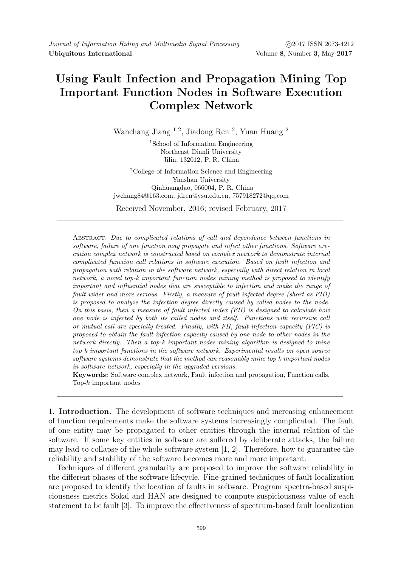## **Using Fault Infection and Propagation Mining Top Important Function Nodes in Software Execution Complex Network**

Wanchang Jiang <sup>1,2</sup>, Jiadong Ren<sup>2</sup>, Yuan Huang<sup>2</sup>

<sup>1</sup>School of Information Engineering Northeast Dianli University Jilin, 132012, P. R. China

<sup>2</sup>College of Information Science and Engineering Yanshan University Qinhuangdao, 066004, P. R. China jwchang84@163.com, jdren@ysu.edu.cn, 757918272@qq.com

Received November, 2016; revised February, 2017

Abstract. *Due to complicated relations of call and dependence between functions in software, failure of one function may propagate and infect other functions. Software execution complex network is constructed based on complex network to demonstrate internal complicated function call relations in software execution. Based on fault infection and propagation with relation in the software network, especially with direct relation in local network, a novel top-k important function nodes mining method is proposed to identify important and influential nodes that are susceptible to infection and make the range of fault wider and more serious. Firstly, a measure of fault infected degree (short as FID) is proposed to analyze the infection degree directly caused by called nodes to the node. On this basis, then a measure of fault infected index (FII) is designed to calculate how one node is infected by both its called nodes and itself. Functions with recursive call or mutual call are specially treated. Finally, with FII, fault infection capacity (FIC) is proposed to obtain the fault infection capacity caused by one node to other nodes in the network directly. Then a top-k important nodes mining algorithm is designed to mine top k important functions in the software network. Experimental results on open source software systems demonstrate that the method can reasonably mine top k important nodes in software network, especially in the upgraded versions.*

**Keywords:** Software complex network, Fault infection and propagation, Function calls, Top-*k* important nodes

1. **Introduction.** The development of software techniques and increasing enhancement of function requirements make the software systems increasingly complicated. The fault of one entity may be propagated to other entities through the internal relation of the software. If some key entities in software are suffered by deliberate attacks, the failure may lead to collapse of the whole software system [1, 2]. Therefore, how to guarantee the reliability and stability of the software becomes more and more important.

Techniques of different granularity are proposed to improve the software reliability in the different phases of the software lifecycle. Fine-grained techniques of fault localization are proposed to identify the location of faults in software. Program spectra-based suspiciousness metrics Sokal and HAN are designed to compute suspiciousness value of each statement to be fault [3]. To improve the effectiveness of spectrum-based fault localization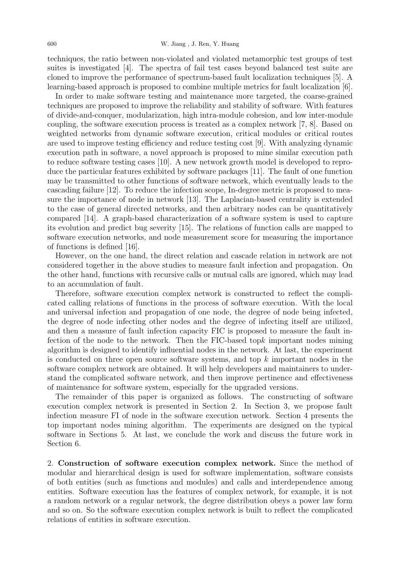techniques, the ratio between non-violated and violated metamorphic test groups of test suites is investigated [4]. The spectra of fail test cases beyond balanced test suite are cloned to improve the performance of spectrum-based fault localization techniques [5]. A learning-based approach is proposed to combine multiple metrics for fault localization [6].

In order to make software testing and maintenance more targeted, the coarse-grained techniques are proposed to improve the reliability and stability of software. With features of divide-and-conquer, modularization, high intra-module cohesion, and low inter-module coupling, the software execution process is treated as a complex network [7, 8]. Based on weighted networks from dynamic software execution, critical modules or critical routes are used to improve testing efficiency and reduce testing cost [9]. With analyzing dynamic execution path in software, a novel approach is proposed to mine similar execution path to reduce software testing cases [10]. A new network growth model is developed to reproduce the particular features exhibited by software packages [11]. The fault of one function may be transmitted to other functions of software network, which eventually leads to the cascading failure [12]. To reduce the infection scope, In-degree metric is proposed to measure the importance of node in network [13]. The Laplacian-based centrality is extended to the case of general directed networks, and then arbitrary nodes can be quantitatively compared [14]. A graph-based characterization of a software system is used to capture its evolution and predict bug severity [15]. The relations of function calls are mapped to software execution networks, and node measurement score for measuring the importance of functions is defined [16].

However, on the one hand, the direct relation and cascade relation in network are not considered together in the above studies to measure fault infection and propagation. On the other hand, functions with recursive calls or mutual calls are ignored, which may lead to an accumulation of fault.

Therefore, software execution complex network is constructed to reflect the complicated calling relations of functions in the process of software execution. With the local and universal infection and propagation of one node, the degree of node being infected, the degree of node infecting other nodes and the degree of infecting itself are utilized, and then a measure of fault infection capacity FIC is proposed to measure the fault infection of the node to the network. Then the FIC-based top*k* important nodes mining algorithm is designed to identify influential nodes in the network. At last, the experiment is conducted on three open source software systems, and top *k* important nodes in the software complex network are obtained. It will help developers and maintainers to understand the complicated software network, and then improve pertinence and effectiveness of maintenance for software system, especially for the upgraded versions.

The remainder of this paper is organized as follows. The constructing of software execution complex network is presented in Section 2. In Section 3, we propose fault infection measure FI of node in the software execution network. Section 4 presents the top important nodes mining algorithm. The experiments are designed on the typical software in Sections 5. At last, we conclude the work and discuss the future work in Section 6.

2. **Construction of software execution complex network.** Since the method of modular and hierarchical design is used for software implementation, software consists of both entities (such as functions and modules) and calls and interdependence among entities. Software execution has the features of complex network, for example, it is not a random network or a regular network, the degree distribution obeys a power law form and so on. So the software execution complex network is built to reflect the complicated relations of entities in software execution.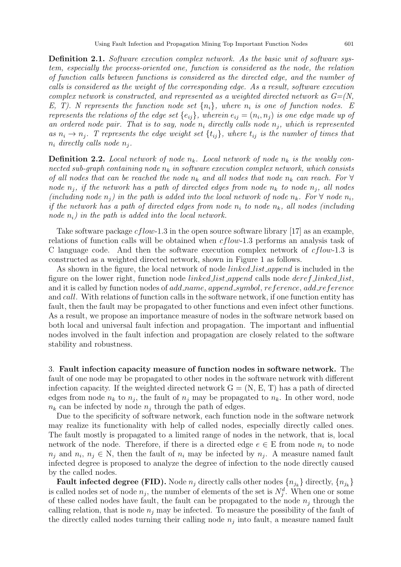**Definition 2.1.** *Software execution complex network. As the basic unit of software system, especially the process-oriented one, function is considered as the node, the relation of function calls between functions is considered as the directed edge, and the number of calls is considered as the weight of the corresponding edge. As a result, software execution complex network is constructed, and represented as a weighted directed network as G=(N, E, T). N* represents the function node set  $\{n_i\}$ *, where*  $n_i$  *is one of function nodes. E represents the relations of the edge set*  $\{e_{ij}\}$ , wherein  $e_{ij} = (n_i, n_j)$  *is one edge made up of* an ordered node pair. That is to say, node  $n_i$  directly calls node  $n_j$ , which is represented *as*  $n_i \rightarrow n_j$ . T represents the edge weight set  $\{t_{ij}\}$ , where  $t_{ij}$  is the number of times that  $n_i$  *directly calls node*  $n_j$ *.* 

**Definition 2.2.** Local network of node  $n_k$ . Local network of node  $n_k$  is the weakly con*nected sub-graph containing node n<sup>k</sup> in software execution complex network, which consists of all nodes that can be reached the node*  $n_k$  *and all nodes that node*  $n_k$  *can reach. For*  $\forall$ *node*  $n_j$ , if the network has a path of directed edges from node  $n_k$  to node  $n_j$ , all nodes *(including node*  $n_j$ *) in the path is added into the local network of node*  $n_k$ *. For*  $\forall$  *node*  $n_i$ *, if the network has a path of directed edges from node*  $n_i$  to node  $n_k$ , all nodes (including *node ni) in the path is added into the local network.*

Take software package *cflow*-1.3 in the open source software library [17] as an example, relations of function calls will be obtained when *cflow*-1.3 performs an analysis task of C language code. And then the software execution complex network of *cflow*-1.3 is constructed as a weighted directed network, shown in Figure 1 as follows.

As shown in the figure, the local network of node *linked list append* is included in the figure on the lower right, function node *linked list append* calls node *deref linked list*, and it is called by function nodes of *add name*, *append symbol*, *reference*, *add reference* and *call*. With relations of function calls in the software network, if one function entity has fault, then the fault may be propagated to other functions and even infect other functions. As a result, we propose an importance measure of nodes in the software network based on both local and universal fault infection and propagation. The important and influential nodes involved in the fault infection and propagation are closely related to the software stability and robustness.

3. **Fault infection capacity measure of function nodes in software network.** The fault of one node may be propagated to other nodes in the software network with different infection capacity. If the weighted directed network  $G = (N, E, T)$  has a path of directed edges from node  $n_k$  to  $n_j$ , the fault of  $n_j$  may be propagated to  $n_k$ . In other word, node  $n_k$  can be infected by node  $n_j$  through the path of edges.

Due to the specificity of software network, each function node in the software network may realize its functionality with help of called nodes, especially directly called ones. The fault mostly is propagated to a limited range of nodes in the network, that is, local network of the node. Therefore, if there is a directed edge  $e \in E$  from node  $n_i$  to node  $n_j$  and  $n_i$ ,  $n_j \in \mathbb{N}$ , then the fault of  $n_i$  may be infected by  $n_j$ . A measure named fault infected degree is proposed to analyze the degree of infection to the node directly caused by the called nodes.

**Fault infected degree (FID).** Node  $n_j$  directly calls other nodes  $\{n_{j_k}\}$  directly,  $\{n_{j_k}\}$ is called nodes set of node  $n_j$ , the number of elements of the set is  $N_j^d$ . When one or some of these called nodes have fault, the fault can be propagated to the node  $n_j$  through the calling relation, that is node  $n_j$  may be infected. To measure the possibility of the fault of the directly called nodes turning their calling node  $n_j$  into fault, a measure named fault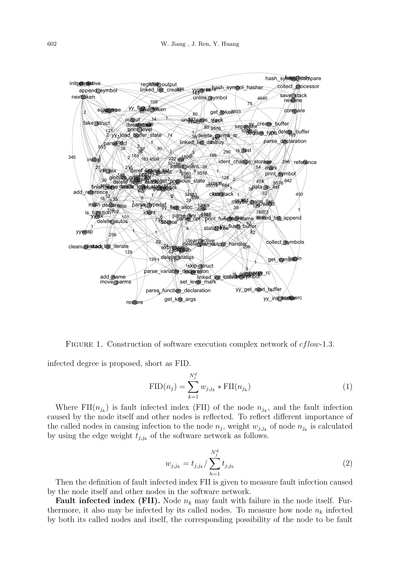

Figure 1. Construction of software execution complex network of *cflow*-1.3.

infected degree is proposed, short as FID.

$$
\text{FID}(n_j) = \sum_{k=1}^{N_j^d} w_{j,j_k} * \text{FII}(n_{j_k})
$$
\n(1)

Where  $\text{FII}(n_{j_k})$  is fault infected index (FII) of the node  $n_{j_k}$ , and the fault infection caused by the node itself and other nodes is reflected. To reflect different importance of the called nodes in causing infection to the node  $n_j$ , weight  $w_{j,j_k}$  of node  $n_{j_k}$  is calculated by using the edge weight *tj,j<sup>k</sup>* of the software network as follows.

$$
w_{j,j_k} = t_{j,j_k} / \sum_{h=1}^{N_j^d} t_{j,j_h}
$$
 (2)

Then the definition of fault infected index FII is given to measure fault infection caused by the node itself and other nodes in the software network.

**Fault infected index (FII).** Node  $n_k$  may fault with failure in the node itself. Furthermore, it also may be infected by its called nodes. To measure how node  $n_k$  infected by both its called nodes and itself, the corresponding possibility of the node to be fault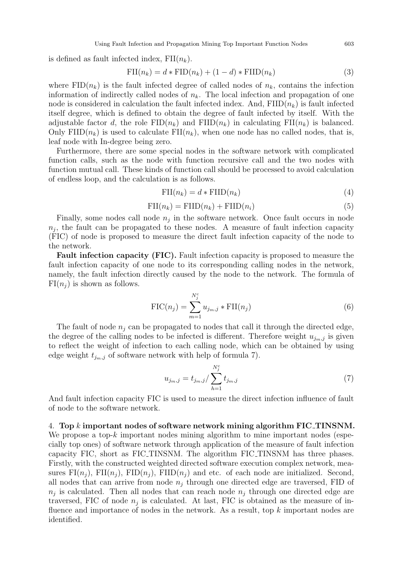is defined as fault infected index,  $FII(n_k)$ .

$$
\text{FI}(n_k) = d * \text{FID}(n_k) + (1 - d) * \text{FIID}(n_k)
$$
\n(3)

where  $FID(n_k)$  is the fault infected degree of called nodes of  $n_k$ , contains the infection information of indirectly called nodes of  $n_k$ . The local infection and propagation of one node is considered in calculation the fault infected index. And,  $\text{FIID}(n_k)$  is fault infected itself degree, which is defined to obtain the degree of fault infected by itself. With the adjustable factor *d*, the role  $FID(n_k)$  and  $FIID(n_k)$  in calculating  $FII(n_k)$  is balanced. Only  $\text{FIID}(n_k)$  is used to calculate  $\text{FJI}(n_k)$ , when one node has no called nodes, that is, leaf node with In-degree being zero.

Furthermore, there are some special nodes in the software network with complicated function calls, such as the node with function recursive call and the two nodes with function mutual call. These kinds of function call should be processed to avoid calculation of endless loop, and the calculation is as follows.

$$
\text{FII}(n_k) = d * \text{FIID}(n_k) \tag{4}
$$

$$
\text{FI}(n_k) = \text{FIID}(n_k) + \text{FIID}(n_i) \tag{5}
$$

Finally, some nodes call node  $n_j$  in the software network. Once fault occurs in node  $n_j$ , the fault can be propagated to these nodes. A measure of fault infection capacity (FIC) of node is proposed to measure the direct fault infection capacity of the node to the network.

**Fault infection capacity (FIC).** Fault infection capacity is proposed to measure the fault infection capacity of one node to its corresponding calling nodes in the network, namely, the fault infection directly caused by the node to the network. The formula of  $FI(n_i)$  is shown as follows.

$$
\text{FIC}(n_j) = \sum_{m=1}^{N_j^c} u_{j_m,j} * \text{FII}(n_j)
$$
\n
$$
(6)
$$

The fault of node  $n_j$  can be propagated to nodes that call it through the directed edge, the degree of the calling nodes to be infected is different. Therefore weight  $u_{j_m,j}$  is given to reflect the weight of infection to each calling node, which can be obtained by using edge weight  $t_{j_m,j}$  of software network with help of formula 7).

$$
u_{j_m,j} = t_{j_m,j} / \sum_{h=1}^{N_j^c} t_{j_m,j}
$$
\n(7)

And fault infection capacity FIC is used to measure the direct infection influence of fault of node to the software network.

4. **Top** *k* **important nodes of software network mining algorithm FIC TINSNM.** We propose a top-*k* important nodes mining algorithm to mine important nodes (especially top ones) of software network through application of the measure of fault infection capacity FIC, short as FIC TINSNM. The algorithm FIC TINSNM has three phases. Firstly, with the constructed weighted directed software execution complex network, measures  $FI(n_i)$ ,  $FI(n_i)$ ,  $FID(n_i)$ ,  $FIID(n_i)$  and etc. of each node are initialized. Second, all nodes that can arrive from node *n<sup>j</sup>* through one directed edge are traversed, FID of  $n_j$  is calculated. Then all nodes that can reach node  $n_j$  through one directed edge are traversed, FIC of node  $n_j$  is calculated. At last, FIC is obtained as the measure of influence and importance of nodes in the network. As a result, top *k* important nodes are identified.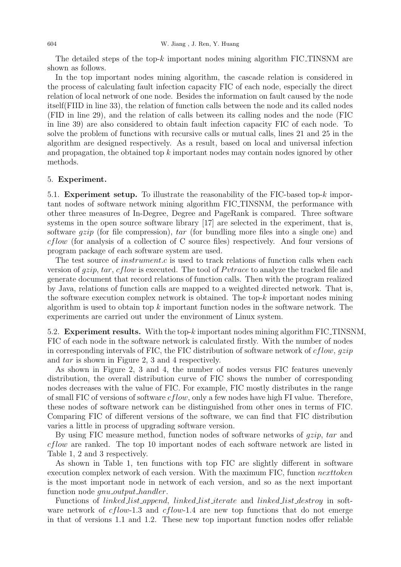The detailed steps of the top- $k$  important nodes mining algorithm  $FIC\_TINSNM$  are shown as follows.

In the top important nodes mining algorithm, the cascade relation is considered in the process of calculating fault infection capacity FIC of each node, especially the direct relation of local network of one node. Besides the information on fault caused by the node itself(FIID in line 33), the relation of function calls between the node and its called nodes (FID in line 29), and the relation of calls between its calling nodes and the node (FIC in line 39) are also considered to obtain fault infection capacity FIC of each node. To solve the problem of functions with recursive calls or mutual calls, lines 21 and 25 in the algorithm are designed respectively. As a result, based on local and universal infection and propagation, the obtained top *k* important nodes may contain nodes ignored by other methods.

## 5. **Experiment.**

5.1. **Experiment setup.** To illustrate the reasonability of the FIC-based top-*k* important nodes of software network mining algorithm FIC TINSNM, the performance with other three measures of In-Degree, Degree and PageRank is compared. Three software systems in the open source software library [17] are selected in the experiment, that is, software *gzip* (for file compression), *tar* (for bundling more files into a single one) and *cflow* (for analysis of a collection of C source files) respectively. And four versions of program package of each software system are used.

The test source of *instrument.c* is used to track relations of function calls when each version of *gzip*, *tar*, *cflow* is executed. The tool of *Pvtrace* to analyze the tracked file and generate document that record relations of function calls. Then with the program realized by Java, relations of function calls are mapped to a weighted directed network. That is, the software execution complex network is obtained. The top-*k* important nodes mining algorithm is used to obtain top *k* important function nodes in the software network. The experiments are carried out under the environment of Linux system.

5.2. **Experiment results.** With the top-*k* important nodes mining algorithm FIC TINSNM, FIC of each node in the software network is calculated firstly. With the number of nodes in corresponding intervals of FIC, the FIC distribution of software network of *cflow*, *gzip* and *tar* is shown in Figure 2, 3 and 4 respectively.

As shown in Figure 2, 3 and 4, the number of nodes versus FIC features unevenly distribution, the overall distribution curve of FIC shows the number of corresponding nodes decreases with the value of FIC. For example, FIC mostly distributes in the range of small FIC of versions of software *cflow*, only a few nodes have high FI value. Therefore, these nodes of software network can be distinguished from other ones in terms of FIC. Comparing FIC of different versions of the software, we can find that FIC distribution varies a little in process of upgrading software version.

By using FIC measure method, function nodes of software networks of *gzip*, *tar* and *cflow* are ranked. The top 10 important nodes of each software network are listed in Table 1, 2 and 3 respectively.

As shown in Table 1, ten functions with top FIC are slightly different in software execution complex network of each version. With the maximum FIC, function *nexttoken* is the most important node in network of each version, and so as the next important function node *gnu output handler*.

Functions of *linked list append*, *linked list iterate* and *linked list destroy* in software network of *cflow*-1.3 and *cflow*-1.4 are new top functions that do not emerge in that of versions 1.1 and 1.2. These new top important function nodes offer reliable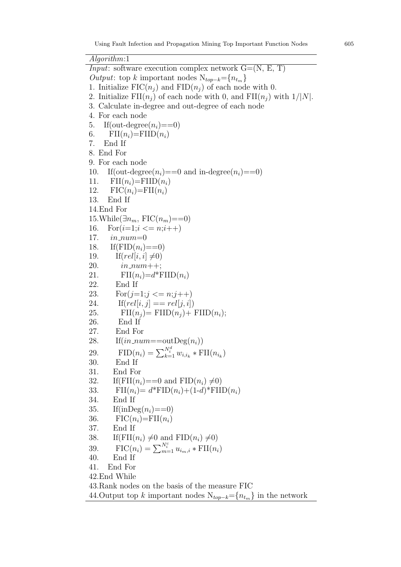*Algorithm*:1 *Input*: software execution complex network G=(N, E, T) *Output*: top *k* important nodes  $N_{top-k} = \{n_{t_m}\}$ 1. Initialize  $\text{FIC}(n_i)$  and  $\text{FID}(n_i)$  of each node with 0. 2. Initialize  $\text{FI}(n_i)$  of each node with 0, and  $\text{FI}(n_i)$  with  $1/|N|$ . 3. Calculate in-degree and out-degree of each node 4. For each node 5. If (out-degree $(n_i) == 0$ ) 6. FII $(n_i)$ =FIID $(n_i)$ 7. End If 8. End For 9. For each node 10. If (out-degree $(n_i) == 0$  and in-degree $(n_i) == 0$ ) 11. FII $(n_i)$ =FIID $(n_i)$ 12. FIC $(n_i)$ =FII $(n_i)$ 13. End If 14.End For 15.While( $\exists n_m$ , FIC( $n_m$ )==0) 16. For $(i=1; i \leq n; i++)$ 17. *in num*=0 18. If( $FID(n_i) == 0$ ) 19. If $(\text{rel}[i, i] \neq 0)$ 20. *in num*++; 21. FII $(n_i) = d^*$ FIID $(n_i)$ 22. End If 23. For $(j=1; j \leq n; j++)$ 24. If  $rel[i, j] == rel[j, i]$ 25. FII $(n_i)$  = FIID $(n_i)$ + FIID $(n_i)$ ; 26. End If 27. End For 28. If  $(in_1num == outDeg(n_i))$ 29. FID $(n_i) = \sum_{k=1}^{N_i^d} w_{i,i_k} * \text{FII}(n_{i_k})$ 30. End If 31. End For 32. If( $\text{FII}(n_i) == 0$  and  $\text{FID}(n_i) \neq 0$ ) 33. FII $(n_i) = d^*$ FID $(n_i) + (1-d)^*$ FIID $(n_i)$ 34. End If 35. If $(\text{inDeg}(n_i)=0)$ 36. FIC( $n_i$ )=FII( $n_i$ ) 37. End If 38. If(FII( $n_i$ )  $\neq 0$  and FID( $n_i$ )  $\neq 0$ ) 39. FIC( $n_i$ ) =  $\sum_{m=1}^{N_i^c} u_{i_m,i} * \text{FII}(n_i)$ 40. End If 41. End For 42.End While 43.Rank nodes on the basis of the measure FIC 44. Output top *k* important nodes  $N_{top-k} = \{n_{t_m}\}\$ in the network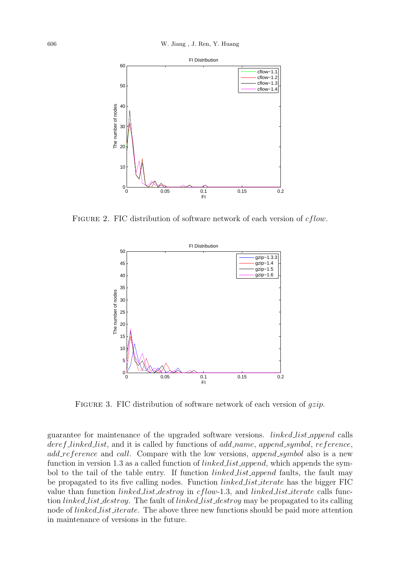

Figure 2. FIC distribution of software network of each version of *cflow*.



Figure 3. FIC distribution of software network of each version of *gzip*.

guarantee for maintenance of the upgraded software versions. *linked list append* calls *deref linked list*, and it is called by functions of *add name*, *append symbol*, *reference*, *add reference* and *call*. Compare with the low versions, *append symbol* also is a new function in version 1.3 as a called function of *linked list append*, which appends the symbol to the tail of the table entry. If function *linked list append* faults, the fault may be propagated to its five calling nodes. Function *linked list iterate* has the bigger FIC value than function *linked list destroy* in *cflow*-1.3, and *linked list iterate* calls function *linked list destroy*. The fault of *linked list destroy* may be propagated to its calling node of *linked\_list\_iterate*. The above three new functions should be paid more attention in maintenance of versions in the future.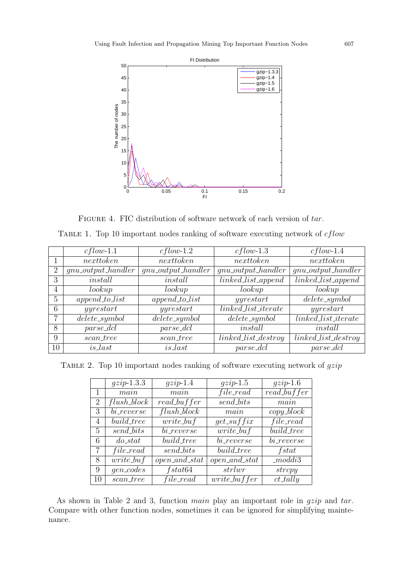

Figure 4. FIC distribution of software network of each version of *tar*.

Table 1. Top 10 important nodes ranking of software executing network of *cflow*

|                | $cflow-1.1$            | $cflow-1.2$            | $cflow-1.3$             | $cflow-1.4$                       |
|----------------|------------------------|------------------------|-------------------------|-----------------------------------|
|                | nexttoken              | nexttoken              | nexttoken               | nexttoken                         |
| $\overline{2}$ | $quu\_output\_handler$ | $quu\_output\_handler$ | $quu\_output\_handler$  | $quu\_output\_handler$            |
| 3              | install                | install                | $linked_list.append$    | $\overline{linked\_list\_append}$ |
| $\overline{4}$ | lookup                 | lookup                 | lookup                  | lookup                            |
| 5              | $append\_to\_list$     | $append\_to\_list$     | yy restart              | $delete\_symbol$                  |
| 6              | yy restart             | yy restart             | $linked\_list\_iterate$ | $y \text{y} \text{r}$             |
| 7              | $delete\_symbol$       | $delete\_symbol$       | $delete\_symbol$        | $linked\_list\_iterate$           |
| 8              | $parse\_dcl$           | $parse\_dcl$           | install                 | install                           |
| 9              | $scan\_tree$           | $scan\_tree$           | $linked\_list\_destroy$ | $linked\_list\_destroy$           |
| 10             | $is$ <i>last</i>       | $is$ <i>last</i>       | $parse\_dcl$            | $parse\_dcl$                      |

Table 2. Top 10 important nodes ranking of software executing network of *gzip*

|                | $qzip-1.3.3$   | $qzip-1.4$        | $gzip-1.5$        | $qzip-1.6$    |
|----------------|----------------|-------------------|-------------------|---------------|
| 1              | main           | main              | $file\_read$      | $read_buffer$ |
| $\overline{2}$ | $flush\_block$ | $read_buffer$     | send_bits         | main          |
| 3              | $bi\_reverse$  | $flush\_block$    | main              | $copy\_block$ |
| 4              | build_tree     | $write\_buf$      | $get\_suffix$     | $file\_read$  |
| $\mathbf{5}$   | send_bits      | $bi\_reverse$     | $write_buf$       | build_tree    |
| 6              | $do\_stat$     | build_tree        | $bi\_reverse$     | $bi\_reverse$ |
| 7              | $file\_read$   | send_bits         | build_tree        | $f$ stat      |
| 8              | $write_buf$    | $open\_and\_stat$ | $open\_and\_stat$ | $_{moddi3}$   |
| 9              | $gen\_codes$   | fstat64           | strlwr            | stropy        |
| 10             | $scan\_tree$   | $file\_read$      | $write_buffer$    | $ct\_tally$   |

As shown in Table 2 and 3, function *main* play an important role in *gzip* and *tar*. Compare with other function nodes, sometimes it can be ignored for simplifying maintenance.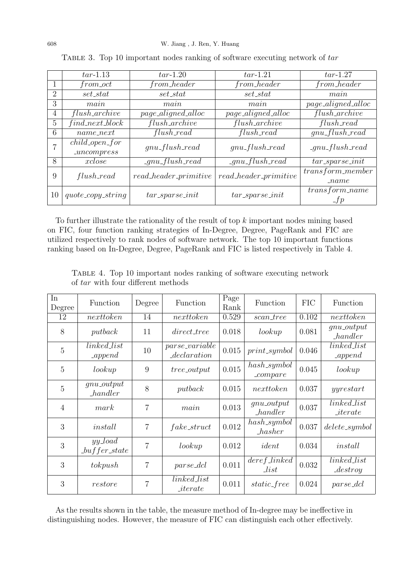|                | $tar-1.13$                             | $tar-1.20$                         | $tar-1.21$                     | $tar-1.27$                     |  |
|----------------|----------------------------------------|------------------------------------|--------------------------------|--------------------------------|--|
|                | $from\_oct$                            | from_header                        | from_header                    | from_header                    |  |
| $\overline{2}$ | $set\_stat$                            | $set\_stat$                        | $set\_stat$                    | $\n  man\n$                    |  |
| 3              | main                                   | main                               | man                            | $page\_aligned\_alized\_alloc$ |  |
| $\overline{4}$ | $flush\_architecture$                  | $page\_aligned\_alized\_alloc$     | $page\_aligned\_alized\_alloc$ | $flush\_architecture$          |  |
| 5              | $find.next-block$                      | $flush\_architecture$              | $flush\_architecture$          | $flush\_read$                  |  |
| 6              | $name\_next$                           | $flush\_read$                      | $flush\_read$                  | $gnu$ -flush-read              |  |
| 7              | $child\_open\_for$<br>$\_{uncompress}$ | $gnu$ -flush-read                  | $gnu$ -flush-read              | $_gnu_flush\_read$             |  |
| 8              | xclose                                 | $\text{\_}gnu\text{\_}flush\_read$ | $_{\mathit{gnu-flush\_read}}$  | $tar\_sparse\_init$            |  |
| 9              | $flush\_read$                          | $read\_header\_primitive$          | $read\_header\_primitive$      | $transform$ -member<br>$_name$ |  |
| 10             | $quote\_copy\_string$                  | $tar\_sparse\_init$                | $tar\_sparse\_init$            | $transform_name$<br>$-tp$      |  |

Table 3. Top 10 important nodes ranking of software executing network of *tar*

To further illustrate the rationality of the result of top *k* important nodes mining based on FIC, four function ranking strategies of In-Degree, Degree, PageRank and FIC are utilized respectively to rank nodes of software network. The top 10 important functions ranking based on In-Degree, Degree, PageRank and FIC is listed respectively in Table 4.

Table 4. Top 10 important nodes ranking of software executing network of *tar* with four different methods

| In<br>Degree   | Function                        | Degree          | Function                                           | Page<br>Rank | Function                           | <b>FIC</b> | Function                                      |
|----------------|---------------------------------|-----------------|----------------------------------------------------|--------------|------------------------------------|------------|-----------------------------------------------|
| 12             | nexttoken                       | $\overline{14}$ | nexttoken                                          | 0.529        | $scan\_tree$                       | 0.102      | nexttoken                                     |
| 8              | putback                         | 11              | direct_tree                                        | 0.018        | lookup                             | 0.081      | $gnu\_output$<br>$\_handler$                  |
| $\overline{5}$ | $linked\_list$<br>$\mathcal{L}$ | 10              | <i>parse_variable</i><br>$\mathcal{L}$ declaration | 0.015        | $print\_symbol$                    | 0.046      | $linked\_list$<br>$\mathcal{L}$               |
| $\overline{5}$ | lookup                          | 9               | $tree\_output$                                     | 0.015        | $hash\_symbol$<br>$_{\_\_compare}$ | 0.045      | lookup                                        |
| $\overline{5}$ | $gnu\_output$<br>$L$ handler    | 8               | putback                                            | 0.015        | nexttoken                          | 0.037      | yy restart                                    |
| $\overline{4}$ | mark                            | 7               | main                                               | 0.013        | $gnu\_output$<br>$L$ handler       | 0.037      | $linked_list$<br>$\mathcal{I}$ <i>iterate</i> |
| 3              | install                         | $\overline{7}$  | $fake\_struct$                                     | 0.012        | $hash\_symbol$<br>has her          | 0.037      | $delete\_symbol$                              |
| 3              | $yy\_load$<br>$_buffer\_state$  | $\overline{7}$  | lookup                                             | 0.012        | ident                              | 0.034      | install                                       |
| 3              | tokpush                         | $\overline{7}$  | $parse\_dcl$                                       | 0.011        | $deref\_linked$<br>List            | 0.032      | $linked\_list$<br>$_{{\it destroy}}$          |
| 3              | restore                         | $\overline{7}$  | $linked_list$<br>$\mathcal{L}$ <i>iterate</i>      | 0.011        | static_free                        | 0.024      | <i>parse_dcl</i>                              |

As the results shown in the table, the measure method of In-degree may be ineffective in distinguishing nodes. However, the measure of FIC can distinguish each other effectively.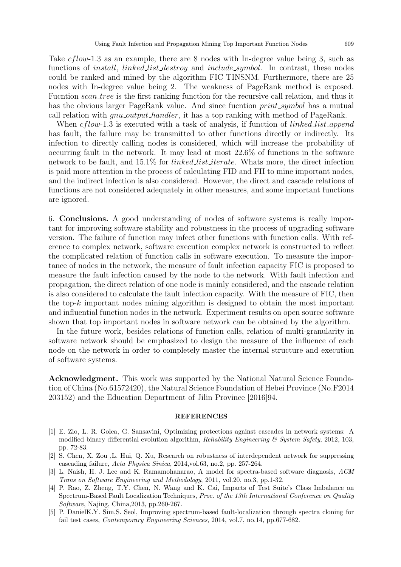Take *cflow*-1.3 as an example, there are 8 nodes with In-degree value being 3, such as functions of *install*, *linked list destroy* and *include symbol*. In contrast, these nodes could be ranked and mined by the algorithm FIC TINSNM. Furthermore, there are 25 nodes with In-degree value being 2. The weakness of PageRank method is exposed. Fucntion *scan tree* is the first ranking function for the recursive call relation, and thus it has the obvious larger PageRank value. And since fucntion *print symbol* has a mutual call relation with *gnu output handler*, it has a top ranking with method of PageRank.

When *cflow*-1.3 is executed with a task of analysis, if function of *linked list append* has fault, the failure may be transmitted to other functions directly or indirectly. Its infection to directly calling nodes is considered, which will increase the probability of occurring fault in the network. It may lead at most 22.6% of functions in the software network to be fault, and 15.1% for *linked list iterate*. Whats more, the direct infection is paid more attention in the process of calculating FID and FII to mine important nodes, and the indirect infection is also considered. However, the direct and cascade relations of functions are not considered adequately in other measures, and some important functions are ignored.

6. **Conclusions.** A good understanding of nodes of software systems is really important for improving software stability and robustness in the process of upgrading software version. The failure of function may infect other functions with function calls. With reference to complex network, software execution complex network is constructed to reflect the complicated relation of function calls in software execution. To measure the importance of nodes in the network, the measure of fault infection capacity FIC is proposed to measure the fault infection caused by the node to the network. With fault infection and propagation, the direct relation of one node is mainly considered, and the cascade relation is also considered to calculate the fault infection capacity. With the measure of FIC, then the top-*k* important nodes mining algorithm is designed to obtain the most important and influential function nodes in the network. Experiment results on open source software shown that top important nodes in software network can be obtained by the algorithm.

In the future work, besides relations of function calls, relation of multi-granularity in software network should be emphasized to design the measure of the influence of each node on the network in order to completely master the internal structure and execution of software systems.

**Acknowledgment.** This work was supported by the National Natural Science Foundation of China (No.61572420), the Natural Science Foundation of Hebei Province (No.F2014 203152) and the Education Department of Jilin Province [2016]94.

## **REFERENCES**

- [1] E. Zio, L. R. Golea, G. Sansavini, Optimizing protections against cascades in network systems: A modified binary differential evolution algorithm, *Reliability Engineering & System Safety*, 2012, 103, pp. 72-83.
- [2] S. Chen, X. Zou ,L. Hui, Q. Xu, Research on robustness of interdependent network for suppressing cascading failure, *Acta Physica Sinica*, 2014,vol.63, no.2, pp. 257-264.
- [3] L. Naish, H. J. Lee and K. Ramamohanarao, A model for spectra-based software diagnosis, *ACM Trans on Software Engineering and Methodology*, 2011, vol.20, no.3, pp.1-32.
- [4] P. Rao, Z. Zheng, T.Y. Chen, N. Wang and K. Cai, Impacts of Test Suite's Class Imbalance on Spectrum-Based Fault Localization Techniques, *Proc. of the 13th International Conference on Quality Software*, Najing, China,2013, pp.260-267.
- [5] P. DanielK.Y. Sim,S. Seol, Improving spectrum-based fault-localization through spectra cloning for fail test cases, *Contemporary Engineering Sciences*, 2014, vol.7, no.14, pp.677-682.